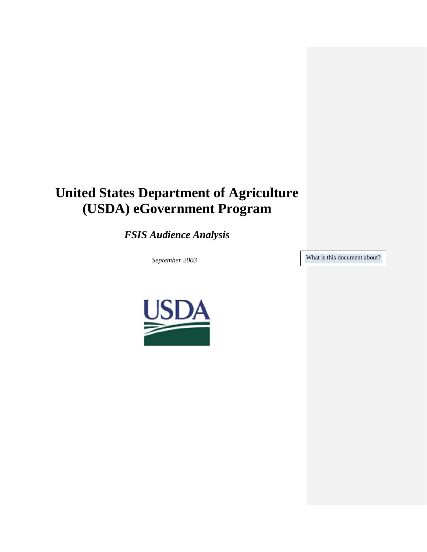# **United States Department of Agriculture (USDA) eGovernment Program**

*FSIS Audience Analysis*

September 2003 What is this document about?

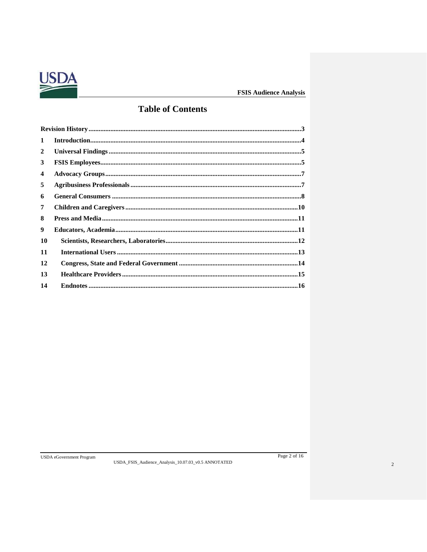

## **Table of Contents**

| 1  |  |
|----|--|
| 2  |  |
| 3  |  |
| 4  |  |
| 5  |  |
| 6  |  |
| 7  |  |
| 8  |  |
| 9  |  |
| 10 |  |
| 11 |  |
| 12 |  |
| 13 |  |
| 14 |  |
|    |  |

USDA\_FSIS\_Audience\_Analysis\_10.07.03\_v0.5 ANNOTATED

Page 2 of 16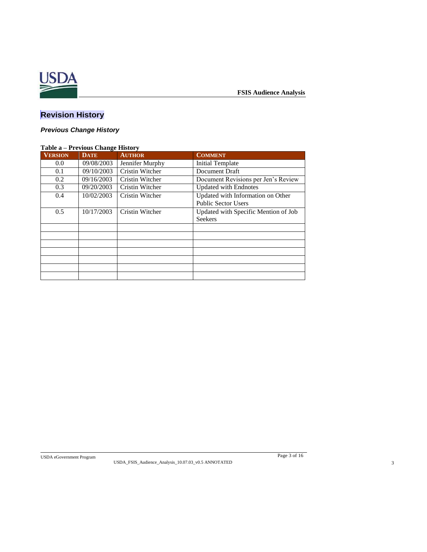

## <span id="page-2-0"></span>**Revision History**

## *Previous Change History*

| Table a - Previous Change History |             |                        |                                                                 |  |  |
|-----------------------------------|-------------|------------------------|-----------------------------------------------------------------|--|--|
| <b>VERSION</b>                    | <b>DATE</b> | <b>AUTHOR</b>          | <b>COMMENT</b>                                                  |  |  |
| 0.0                               | 09/08/2003  | Jennifer Murphy        | Initial Template                                                |  |  |
| 0.1                               | 09/10/2003  | <b>Cristin Witcher</b> | Document Draft                                                  |  |  |
| 0.2                               | 09/16/2003  | Cristin Witcher        | Document Revisions per Jen's Review                             |  |  |
| 0.3                               | 09/20/2003  | <b>Cristin Witcher</b> | <b>Updated with Endnotes</b>                                    |  |  |
| 0.4                               | 10/02/2003  | Cristin Witcher        | Updated with Information on Other<br><b>Public Sector Users</b> |  |  |
| 0.5                               | 10/17/2003  | Cristin Witcher        | Updated with Specific Mention of Job<br><b>Seekers</b>          |  |  |
|                                   |             |                        |                                                                 |  |  |
|                                   |             |                        |                                                                 |  |  |
|                                   |             |                        |                                                                 |  |  |
|                                   |             |                        |                                                                 |  |  |
|                                   |             |                        |                                                                 |  |  |
|                                   |             |                        |                                                                 |  |  |
|                                   |             |                        |                                                                 |  |  |

USDA eGovernment Program Page 3 of 16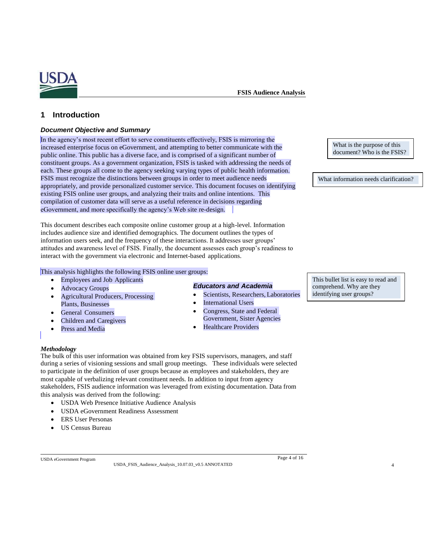

**FSIS Audience Analysis**

## <span id="page-3-0"></span>**1 Introduction**

#### *Document Objective and Summary*

In the agency's most recent effort to serve constituents effectively, FSIS is mirroring the increased enterprise focus on eGovernment, and attempting to better communicate with the public online. This public has a diverse face, and is comprised of a significant number of constituent groups. As a government organization, FSIS is tasked with addressing the needs of each. These groups all come to the agency seeking varying types of public health information. FSIS must recognize the distinctions between groups in order to meet audience needs appropriately, and provide personalized customer service. This document focuses on identifying existing FSIS online user groups, and analyzing their traits and online intentions. This compilation of customer data will serve as a useful reference in decisions regarding eGovernment, and more specifically the agency's Web site re-design.

This document describes each composite online customer group at a high-level. Information includes audience size and identified demographics. The document outlines the types of information users seek, and the frequency of these interactions. It addresses user groups' attitudes and awareness level of FSIS. Finally, the document assesses each group's readiness to interact with the government via electronic and Internet-based applications.

#### This analysis highlights the following FSIS online user groups:

- Employees and Job Applicants
- **Advocacy Groups**
- Agricultural Producers, Processing Plants, Businesses
- General Consumers
- Children and Caregivers
- Press and Media

#### *Educators and Academia*

- Scientists, Researchers, Laboratories
- **International Users**
- Congress, State and Federal Government, Sister Agencies
- Healthcare Providers

#### *Methodology*

The bulk of this user information was obtained from key FSIS supervisors, managers, and staff during a series of visioning sessions and small group meetings. These individuals were selected to participate in the definition of user groups because as employees and stakeholders, they are most capable of verbalizing relevant constituent needs. In addition to input from agency stakeholders, FSIS audience information was leveraged from existing documentation. Data from this analysis was derived from the following:

- USDA Web Presence Initiative Audience Analysis
- USDA eGovernment Readiness Assessment
- ERS User Personas
- US Census Bureau

USDA eGovernment Program Page 4 of 16

USDA\_FSIS\_Audience\_Analysis\_10.07.03\_v0.5 ANNOTATED 4

What is the purpose of this document? Who is the FSIS?

What information needs clarification?

This bullet list is easy to read and comprehend. Why are they identifying user groups?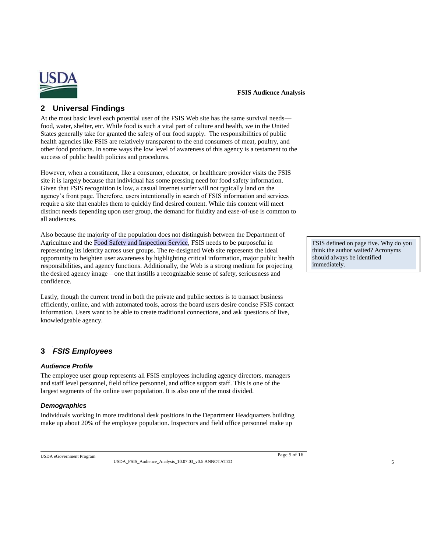

## <span id="page-4-0"></span>**2 Universal Findings**

At the most basic level each potential user of the FSIS Web site has the same survival needs food, water, shelter, etc. While food is such a vital part of culture and health, we in the United States generally take for granted the safety of our food supply. The responsibilities of public health agencies like FSIS are relatively transparent to the end consumers of meat, poultry, and other food products. In some ways the low level of awareness of this agency is a testament to the success of public health policies and procedures.

However, when a constituent, like a consumer, educator, or healthcare provider visits the FSIS site it is largely because that individual has some pressing need for food safety information. Given that FSIS recognition is low, a casual Internet surfer will not typically land on the agency's front page. Therefore, users intentionally in search of FSIS information and services require a site that enables them to quickly find desired content. While this content will meet distinct needs depending upon user group, the demand for fluidity and ease-of-use is common to all audiences.

Also because the majority of the population does not distinguish between the Department of Agriculture and the Food Safety and Inspection Service, FSIS needs to be purposeful in representing its identity across user groups. The re-designed Web site represents the ideal opportunity to heighten user awareness by highlighting critical information, major public health responsibilities, and agency functions. Additionally, the Web is a strong medium for projecting the desired agency image—one that instills a recognizable sense of safety, seriousness and confidence.

Lastly, though the current trend in both the private and public sectors is to transact business efficiently, online, and with automated tools, across the board users desire concise FSIS contact information. Users want to be able to create traditional connections, and ask questions of live, knowledgeable agency.

## <span id="page-4-1"></span>**3** *FSIS Employees*

#### *Audience Profile*

The employee user group represents all FSIS employees including agency directors, managers and staff level personnel, field office personnel, and office support staff. This is one of the largest segments of the online user population. It is also one of the most divided.

#### *Demographics*

Individuals working in more traditional desk positions in the Department Headquarters building make up about 20% of the employee population. Inspectors and field office personnel make up

USDA eGovernment Program Page 5 of 16

USDA\_FSIS\_Audience\_Analysis\_10.07.03\_v0.5 ANNOTATED 5

FSIS defined on page five. Why do you think the author waited? Acronyms should always be identified immediately.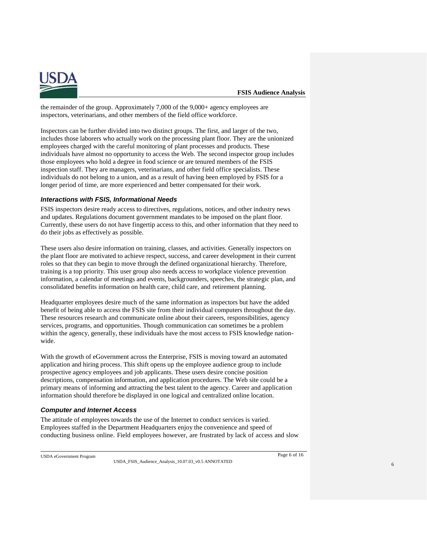

the remainder of the group. Approximately 7,000 of the 9,000+ agency employees are inspectors, veterinarians, and other members of the field office workforce.

Inspectors can be further divided into two distinct groups. The first, and larger of the two, includes those laborers who actually work on the processing plant floor. They are the unionized employees charged with the careful monitoring of plant processes and products. These individuals have almost no opportunity to access the Web. The second inspector group includes those employees who hold a degree in food science or are tenured members of the FSIS inspection staff. They are managers, veterinarians, and other field office specialists. These individuals do not belong to a union, and as a result of having been employed by FSIS for a longer period of time, are more experienced and better compensated for their work.

#### *Interactions with FSIS, Informational Needs*

FSIS inspectors desire ready access to directives, regulations, notices, and other industry news and updates. Regulations document government mandates to be imposed on the plant floor. Currently, these users do not have fingertip access to this, and other information that they need to do their jobs as effectively as possible.

These users also desire information on training, classes, and activities. Generally inspectors on the plant floor are motivated to achieve respect, success, and career development in their current roles so that they can begin to move through the defined organizational hierarchy. Therefore, training is a top priority. This user group also needs access to workplace violence prevention information, a calendar of meetings and events, backgrounders, speeches, the strategic plan, and consolidated benefits information on health care, child care, and retirement planning.

Headquarter employees desire much of the same information as inspectors but have the added benefit of being able to access the FSIS site from their individual computers throughout the day. These resources research and communicate online about their careers, responsibilities, agency services, programs, and opportunities. Though communication can sometimes be a problem within the agency, generally, these individuals have the most access to FSIS knowledge nationwide.

With the growth of eGovernment across the Enterprise, FSIS is moving toward an automated application and hiring process. This shift opens up the employee audience group to include prospective agency employees and job applicants. These users desire concise position descriptions, compensation information, and application procedures. The Web site could be a primary means of informing and attracting the best talent to the agency. Career and application information should therefore be displayed in one logical and centralized online location.

#### *Computer and Internet Access*

The attitude of employees towards the use of the Internet to conduct services is varied. Employees staffed in the Department Headquarters enjoy the convenience and speed of conducting business online. Field employees however, are frustrated by lack of access and slow

USDA eGovernment Program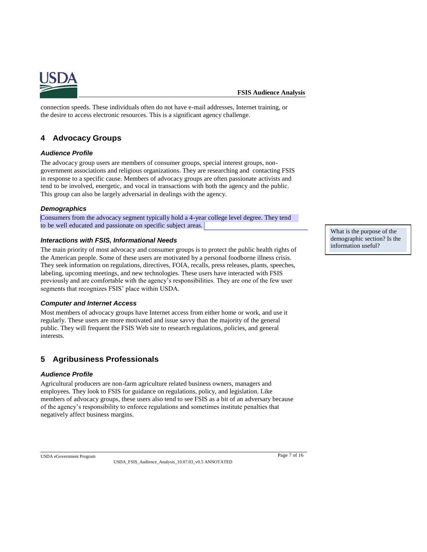

connection speeds. These individuals often do not have e-mail addresses, Internet training, or the desire to access electronic resources. This is a significant agency challenge.

## <span id="page-6-0"></span>**4 Advocacy Groups**

### *Audience Profile*

The advocacy group users are members of consumer groups, special interest groups, nongovernment associations and religious organizations. They are researching and contacting FSIS in response to a specific cause. Members of advocacy groups are often passionate activists and tend to be involved, energetic, and vocal in transactions with both the agency and the public. This group can also be largely adversarial in dealings with the agency.

#### *Demographics*

Consumers from the advocacy segment typically hold a 4-year college level degree. They tend to be well educated and passionate on specific subject areas.

#### *Interactions with FSIS, Informational Needs*

The main priority of most advocacy and consumer groups is to protect the public health rights of the American people. Some of these users are motivated by a personal foodborne illness crisis. They seek information on regulations, directives, FOIA, recalls, press releases, plants, speeches, labeling, upcoming meetings, and new technologies. These users have interacted with FSIS previously and are comfortable with the agency's responsibilities. They are one of the few user segments that recognizes FSIS' place within USDA.

#### *Computer and Internet Access*

Most members of advocacy groups have Internet access from either home or work, and use it regularly. These users are more motivated and issue savvy than the majority of the general public. They will frequent the FSIS Web site to research regulations, policies, and general interests.

## <span id="page-6-1"></span>**5 Agribusiness Professionals**

#### *Audience Profile*

Agricultural producers are non-farm agriculture related business owners, managers and employees. They look to FSIS for guidance on regulations, policy, and legislation. Like members of advocacy groups, these users also tend to see FSIS as a bit of an adversary because of the agency's responsibility to enforce regulations and sometimes institute penalties that negatively affect business margins.

USDA eGovernment Program

USDA\_FSIS\_Audience\_Analysis\_10.07.03\_v0.5 ANNOTATED

What is the purpose of the demographic section? Is the information useful?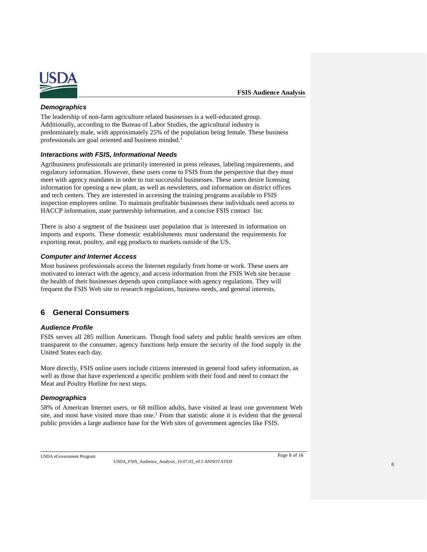

#### *Demographics*

The leadership of non-farm agriculture related businesses is a well-educated group. Additionally, according to the Bureau of Labor Studies, the agricultural industry is predominately male, with approximately 25% of the population being female. These business professionals are goal oriented and business minded.<sup>1</sup>

#### *Interactions with FSIS, Informational Needs*

Agribusiness professionals are primarily interested in press releases, labeling requirements, and regulatory information. However, these users come to FSIS from the perspective that they must meet with agency mandates in order to run successful businesses. These users desire licensing information for opening a new plant, as well as newsletters, and information on district offices and tech centers. They are interested in accessing the training programs available to FSIS inspection employees online. To maintain profitable businesses these individuals need access to HACCP information, state partnership information, and a concise FSIS contact list.

There is also a segment of the business user population that is interested in information on imports and exports. These domestic establishments must understand the requirements for exporting meat, poultry, and egg products to markets outside of the US.

#### *Computer and Internet Access*

Most business professionals access the Internet regularly from home or work. These users are motivated to interact with the agency, and access information from the FSIS Web site because the health of their businesses depends upon compliance with agency regulations. They will frequent the FSIS Web site to research regulations, business needs, and general interests.

## <span id="page-7-0"></span>**6 General Consumers**

#### *Audience Profile*

FSIS serves all 285 million Americans. Though food safety and public health services are often transparent to the consumer, agency functions help ensure the security of the food supply in the United States each day.

More directly, FSIS online users include citizens interested in general food safety information, as well as those that have experienced a specific problem with their food and need to contact the Meat and Poultry Hotline for next steps.

#### *Demographics*

58% of American Internet users, or 68 million adults, have visited at least one government Web site, and most have visited more than one.<sup>2</sup> From that statistic alone it is evident that the general public provides a large audience base for the Web sites of government agencies like FSIS.

USDA eGovernment Program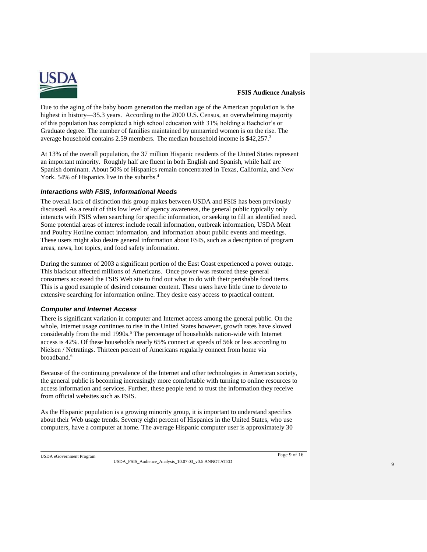

Due to the aging of the baby boom generation the median age of the American population is the highest in history—35.3 years. According to the 2000 U.S. Census, an overwhelming majority of this population has completed a high school education with 31% holding a Bachelor's or Graduate degree. The number of families maintained by unmarried women is on the rise. The average household contains 2.59 members. The median household income is \$42,257.<sup>3</sup>

At 13% of the overall population, the 37 million Hispanic residents of the United States represent an important minority. Roughly half are fluent in both English and Spanish, while half are Spanish dominant. About 50% of Hispanics remain concentrated in Texas, California, and New York. 54% of Hispanics live in the suburbs.<sup>4</sup>

#### *Interactions with FSIS, Informational Needs*

The overall lack of distinction this group makes between USDA and FSIS has been previously discussed. As a result of this low level of agency awareness, the general public typically only interacts with FSIS when searching for specific information, or seeking to fill an identified need. Some potential areas of interest include recall information, outbreak information, USDA Meat and Poultry Hotline contact information, and information about public events and meetings. These users might also desire general information about FSIS, such as a description of program areas, news, hot topics, and food safety information.

During the summer of 2003 a significant portion of the East Coast experienced a power outage. This blackout affected millions of Americans. Once power was restored these general consumers accessed the FSIS Web site to find out what to do with their perishable food items. This is a good example of desired consumer content. These users have little time to devote to extensive searching for information online. They desire easy access to practical content.

#### *Computer and Internet Access*

There is significant variation in computer and Internet access among the general public. On the whole, Internet usage continues to rise in the United States however, growth rates have slowed considerably from the mid  $1990s$ .<sup>5</sup> The percentage of households nation-wide with Internet access is 42%. Of these households nearly 65% connect at speeds of 56k or less according to Nielsen / Netratings. Thirteen percent of Americans regularly connect from home via broadband.<sup>6</sup>

Because of the continuing prevalence of the Internet and other technologies in American society, the general public is becoming increasingly more comfortable with turning to online resources to access information and services. Further, these people tend to trust the information they receive from official websites such as FSIS.

As the Hispanic population is a growing minority group, it is important to understand specifics about their Web usage trends. Seventy eight percent of Hispanics in the United States, who use computers, have a computer at home. The average Hispanic computer user is approximately 30

USDA eGovernment Program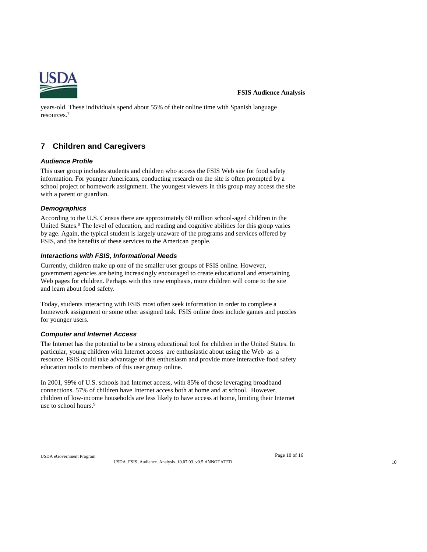

years-old. These individuals spend about 55% of their online time with Spanish language resources.<sup>7</sup>

## <span id="page-9-0"></span>**7 Children and Caregivers**

#### *Audience Profile*

This user group includes students and children who access the FSIS Web site for food safety information. For younger Americans, conducting research on the site is often prompted by a school project or homework assignment. The youngest viewers in this group may access the site with a parent or guardian.

#### *Demographics*

According to the U.S. Census there are approximately 60 million school-aged children in the United States.<sup>8</sup> The level of education, and reading and cognitive abilities for this group varies by age. Again, the typical student is largely unaware of the programs and services offered by FSIS, and the benefits of these services to the American people.

#### *Interactions with FSIS, Informational Needs*

Currently, children make up one of the smaller user groups of FSIS online. However, government agencies are being increasingly encouraged to create educational and entertaining Web pages for children. Perhaps with this new emphasis, more children will come to the site and learn about food safety.

Today, students interacting with FSIS most often seek information in order to complete a homework assignment or some other assigned task. FSIS online does include games and puzzles for younger users.

#### *Computer and Internet Access*

The Internet has the potential to be a strong educational tool for children in the United States. In particular, young children with Internet access are enthusiastic about using the Web as a resource. FSIS could take advantage of this enthusiasm and provide more interactive food safety education tools to members of this user group online.

In 2001, 99% of U.S. schools had Internet access, with 85% of those leveraging broadband connections. 57% of children have Internet access both at home and at school. However, children of low-income households are less likely to have access at home, limiting their Internet use to school hours.<sup>9</sup>

USDA eGovernment Program Page 10 of 16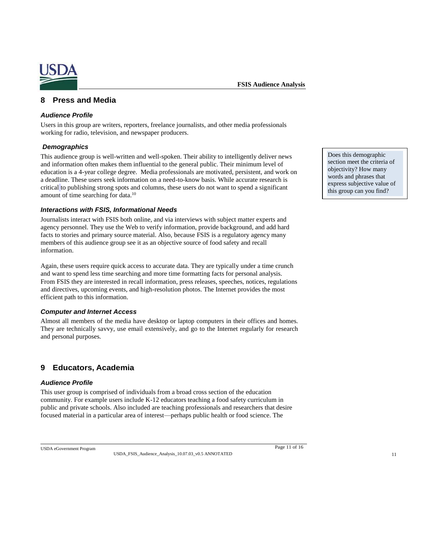

### <span id="page-10-0"></span>**8 Press and Media**

#### *Audience Profile*

Users in this group are writers, reporters, freelance journalists, and other media professionals working for radio, television, and newspaper producers.

#### *Demographics*

This audience group is well-written and well-spoken. Their ability to intelligently deliver news and information often makes them influential to the general public. Their minimum level of education is a 4-year college degree. Media professionals are motivated, persistent, and work on a deadline. These users seek information on a need-to-know basis. While accurate research is critical to publishing strong spots and columns, these users do not want to spend a significant amount of time searching for data.<sup>10</sup>

#### *Interactions with FSIS, Informational Needs*

Journalists interact with FSIS both online, and via interviews with subject matter experts and agency personnel. They use the Web to verify information, provide background, and add hard facts to stories and primary source material. Also, because FSIS is a regulatory agency many members of this audience group see it as an objective source of food safety and recall information.

Again, these users require quick access to accurate data. They are typically under a time crunch and want to spend less time searching and more time formatting facts for personal analysis. From FSIS they are interested in recall information, press releases, speeches, notices, regulations and directives, upcoming events, and high-resolution photos. The Internet provides the most efficient path to this information.

#### *Computer and Internet Access*

Almost all members of the media have desktop or laptop computers in their offices and homes. They are technically savvy, use email extensively, and go to the Internet regularly for research and personal purposes.

## <span id="page-10-1"></span>**9 Educators, Academia**

#### *Audience Profile*

This user group is comprised of individuals from a broad cross section of the education community. For example users include K-12 educators teaching a food safety curriculum in public and private schools. Also included are teaching professionals and researchers that desire focused material in a particular area of interest—perhaps public health or food science. The

USDA eGovernment Program Page 11 of 16

Does this demographic section meet the criteria of objectivity? How many words and phrases that express subjective value of this group can you find?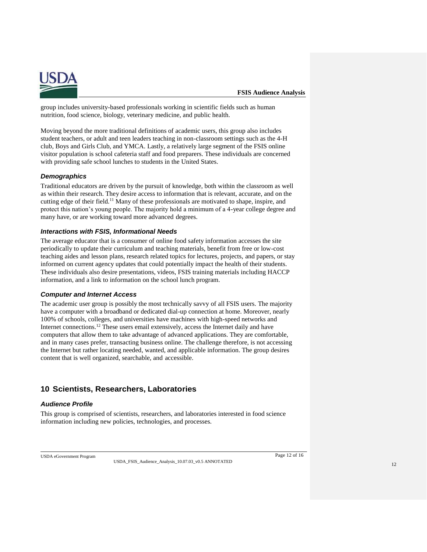

group includes university-based professionals working in scientific fields such as human nutrition, food science, biology, veterinary medicine, and public health.

Moving beyond the more traditional definitions of academic users, this group also includes student teachers, or adult and teen leaders teaching in non-classroom settings such as the 4-H club, Boys and Girls Club, and YMCA. Lastly, a relatively large segment of the FSIS online visitor population is school cafeteria staff and food preparers. These individuals are concerned with providing safe school lunches to students in the United States.

#### *Demographics*

Traditional educators are driven by the pursuit of knowledge, both within the classroom as well as within their research. They desire access to information that is relevant, accurate, and on the cutting edge of their field.<sup>11</sup> Many of these professionals are motivated to shape, inspire, and protect this nation's young people. The majority hold a minimum of a 4-year college degree and many have, or are working toward more advanced degrees.

#### *Interactions with FSIS, Informational Needs*

The average educator that is a consumer of online food safety information accesses the site periodically to update their curriculum and teaching materials, benefit from free or low-cost teaching aides and lesson plans, research related topics for lectures, projects, and papers, or stay informed on current agency updates that could potentially impact the health of their students. These individuals also desire presentations, videos, FSIS training materials including HACCP information, and a link to information on the school lunch program.

#### *Computer and Internet Access*

The academic user group is possibly the most technically savvy of all FSIS users. The majority have a computer with a broadband or dedicated dial-up connection at home. Moreover, nearly 100% of schools, colleges, and universities have machines with high-speed networks and Internet connections.<sup>12</sup> These users email extensively, access the Internet daily and have computers that allow them to take advantage of advanced applications. They are comfortable, and in many cases prefer, transacting business online. The challenge therefore, is not accessing the Internet but rather locating needed, wanted, and applicable information. The group desires content that is well organized, searchable, and accessible.

## <span id="page-11-0"></span>**10 Scientists, Researchers, Laboratories**

#### *Audience Profile*

This group is comprised of scientists, researchers, and laboratories interested in food science information including new policies, technologies, and processes.

USDA\_FSIS\_Audience\_Analysis\_10.07.03\_v0.5 ANNOTATED

USDA eGovernment Program

Page 12 of 16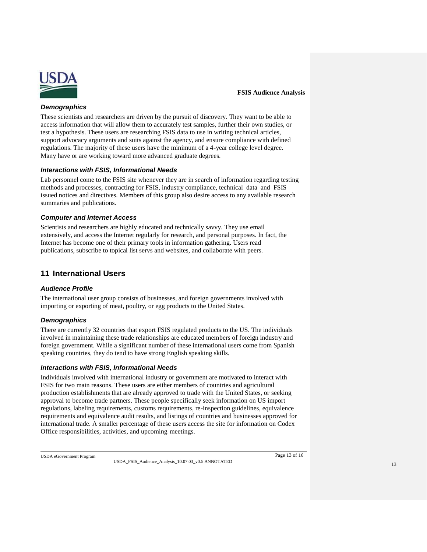

#### *Demographics*

These scientists and researchers are driven by the pursuit of discovery. They want to be able to access information that will allow them to accurately test samples, further their own studies, or test a hypothesis. These users are researching FSIS data to use in writing technical articles, support advocacy arguments and suits against the agency, and ensure compliance with defined regulations. The majority of these users have the minimum of a 4-year college level degree. Many have or are working toward more advanced graduate degrees.

#### *Interactions with FSIS, Informational Needs*

Lab personnel come to the FSIS site whenever they are in search of information regarding testing methods and processes, contracting for FSIS, industry compliance, technical data and FSIS issued notices and directives. Members of this group also desire access to any available research summaries and publications.

#### *Computer and Internet Access*

Scientists and researchers are highly educated and technically savvy. They use email extensively, and access the Internet regularly for research, and personal purposes. In fact, the Internet has become one of their primary tools in information gathering. Users read publications, subscribe to topical list servs and websites, and collaborate with peers.

## <span id="page-12-0"></span>**11 International Users**

#### *Audience Profile*

The international user group consists of businesses, and foreign governments involved with importing or exporting of meat, poultry, or egg products to the United States.

#### *Demographics*

There are currently 32 countries that export FSIS regulated products to the US. The individuals involved in maintaining these trade relationships are educated members of foreign industry and foreign government. While a significant number of these international users come from Spanish speaking countries, they do tend to have strong English speaking skills.

#### *Interactions with FSIS, Informational Needs*

Individuals involved with international industry or government are motivated to interact with FSIS for two main reasons. These users are either members of countries and agricultural production establishments that are already approved to trade with the United States, or seeking approval to become trade partners. These people specifically seek information on US import regulations, labeling requirements, customs requirements, re-inspection guidelines, equivalence requirements and equivalence audit results, and listings of countries and businesses approved for international trade. A smaller percentage of these users access the site for information on Codex Office responsibilities, activities, and upcoming meetings.

USDA eGovernment Program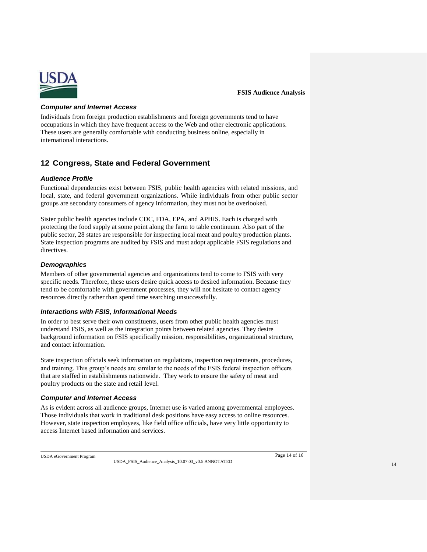

#### *Computer and Internet Access*

Individuals from foreign production establishments and foreign governments tend to have occupations in which they have frequent access to the Web and other electronic applications. These users are generally comfortable with conducting business online, especially in international interactions.

## <span id="page-13-0"></span>**12 Congress, State and Federal Government**

#### *Audience Profile*

Functional dependencies exist between FSIS, public health agencies with related missions, and local, state, and federal government organizations. While individuals from other public sector groups are secondary consumers of agency information, they must not be overlooked.

Sister public health agencies include CDC, FDA, EPA, and APHIS. Each is charged with protecting the food supply at some point along the farm to table continuum. Also part of the public sector, 28 states are responsible for inspecting local meat and poultry production plants. State inspection programs are audited by FSIS and must adopt applicable FSIS regulations and directives.

#### *Demographics*

Members of other governmental agencies and organizations tend to come to FSIS with very specific needs. Therefore, these users desire quick access to desired information. Because they tend to be comfortable with government processes, they will not hesitate to contact agency resources directly rather than spend time searching unsuccessfully.

#### *Interactions with FSIS, Informational Needs*

In order to best serve their own constituents, users from other public health agencies must understand FSIS, as well as the integration points between related agencies. They desire background information on FSIS specifically mission, responsibilities, organizational structure, and contact information.

State inspection officials seek information on regulations, inspection requirements, procedures, and training. This group's needs are similar to the needs of the FSIS federal inspection officers that are staffed in establishments nationwide. They work to ensure the safety of meat and poultry products on the state and retail level.

#### *Computer and Internet Access*

As is evident across all audience groups, Internet use is varied among governmental employees. Those individuals that work in traditional desk positions have easy access to online resources. However, state inspection employees, like field office officials, have very little opportunity to access Internet based information and services.

USDA eGovernment Program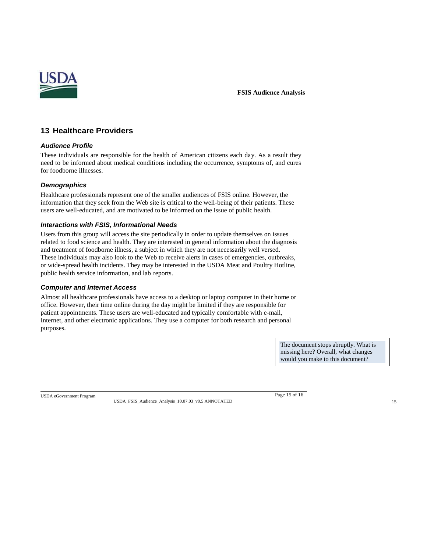

## <span id="page-14-0"></span>**13 Healthcare Providers**

#### *Audience Profile*

These individuals are responsible for the health of American citizens each day. As a result they need to be informed about medical conditions including the occurrence, symptoms of, and cures for foodborne illnesses.

#### *Demographics*

Healthcare professionals represent one of the smaller audiences of FSIS online. However, the information that they seek from the Web site is critical to the well-being of their patients. These users are well-educated, and are motivated to be informed on the issue of public health.

#### *Interactions with FSIS, Informational Needs*

Users from this group will access the site periodically in order to update themselves on issues related to food science and health. They are interested in general information about the diagnosis and treatment of foodborne illness, a subject in which they are not necessarily well versed. These individuals may also look to the Web to receive alerts in cases of emergencies, outbreaks, or wide-spread health incidents. They may be interested in the USDA Meat and Poultry Hotline, public health service information, and lab reports.

#### *Computer and Internet Access*

Almost all healthcare professionals have access to a desktop or laptop computer in their home or office. However, their time online during the day might be limited if they are responsible for patient appointments. These users are well-educated and typically comfortable with e-mail, Internet, and other electronic applications. They use a computer for both research and personal purposes.

> The document stops abruptly. What is missing here? Overall, what changes would you make to this document?

USDA eGovernment Program Page 15 of 16